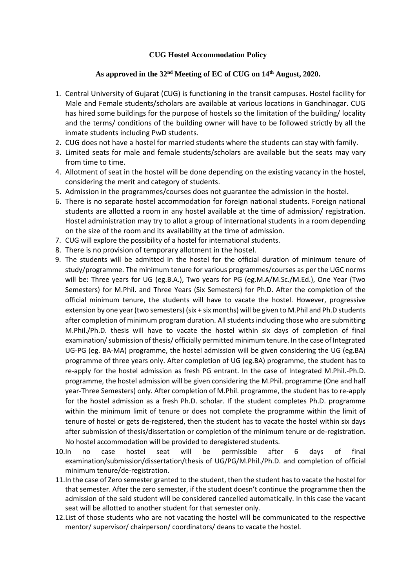## **CUG Hostel Accommodation Policy**

## **As approved in the 32nd Meeting of EC of CUG on 14th August, 2020.**

- 1. Central University of Gujarat (CUG) is functioning in the transit campuses. Hostel facility for Male and Female students/scholars are available at various locations in Gandhinagar. CUG has hired some buildings for the purpose of hostels so the limitation of the building/ locality and the terms/ conditions of the building owner will have to be followed strictly by all the inmate students including PwD students.
- 2. CUG does not have a hostel for married students where the students can stay with family.
- 3. Limited seats for male and female students/scholars are available but the seats may vary from time to time.
- 4. Allotment of seat in the hostel will be done depending on the existing vacancy in the hostel, considering the merit and category of students.
- 5. Admission in the programmes/courses does not guarantee the admission in the hostel.
- 6. There is no separate hostel accommodation for foreign national students. Foreign national students are allotted a room in any hostel available at the time of admission/ registration. Hostel administration may try to allot a group of international students in a room depending on the size of the room and its availability at the time of admission.
- 7. CUG will explore the possibility of a hostel for international students.
- 8. There is no provision of temporary allotment in the hostel.
- 9. The students will be admitted in the hostel for the official duration of minimum tenure of study/programme. The minimum tenure for various programmes/courses as per the UGC norms will be: Three years for UG (eg.B.A.), Two years for PG (eg.M.A/M.Sc./M.Ed.), One Year (Two Semesters) for M.Phil. and Three Years (Six Semesters) for Ph.D. After the completion of the official minimum tenure, the students will have to vacate the hostel. However, progressive extension by one year (two semesters) (six + six months) will be given to M.Phil and Ph.D students after completion of minimum program duration. All students including those who are submitting M.Phil./Ph.D. thesis will have to vacate the hostel within six days of completion of final examination/ submission of thesis/ officially permitted minimum tenure. In the case of Integrated UG-PG (eg. BA-MA) programme, the hostel admission will be given considering the UG (eg.BA) programme of three years only. After completion of UG (eg.BA) programme, the student has to re-apply for the hostel admission as fresh PG entrant. In the case of Integrated M.Phil.-Ph.D. programme, the hostel admission will be given considering the M.Phil. programme (One and half year-Three Semesters) only. After completion of M.Phil. programme, the student has to re-apply for the hostel admission as a fresh Ph.D. scholar. If the student completes Ph.D. programme within the minimum limit of tenure or does not complete the programme within the limit of tenure of hostel or gets de-registered, then the student has to vacate the hostel within six days after submission of thesis/dissertation or completion of the minimum tenure or de-registration. No hostel accommodation will be provided to deregistered students.
- 10.In no case hostel seat will be permissible after 6 days of final examination/submission/dissertation/thesis of UG/PG/M.Phil./Ph.D. and completion of official minimum tenure/de-registration.
- 11.In the case of Zero semester granted to the student, then the student has to vacate the hostel for that semester. After the zero semester, if the student doesn't continue the programme then the admission of the said student will be considered cancelled automatically. In this case the vacant seat will be allotted to another student for that semester only.
- 12.List of those students who are not vacating the hostel will be communicated to the respective mentor/ supervisor/ chairperson/ coordinators/ deans to vacate the hostel.